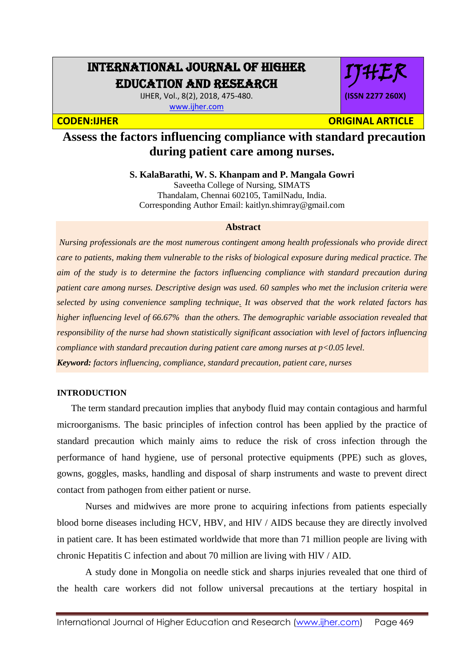# INTERNATIONAL JOURNAL OF HIGHER EDUCATION AND RESEARCH

IJHER, Vol., 8(2), 2018, 475-480. [www.ijher.com](http://www.ijher.com/)



**CODEN:IJHER ORIGINAL ARTICLE** 

## **Assess the factors influencing compliance with standard precaution during patient care among nurses.**

**S. KalaBarathi, W. S. Khanpam and P. Mangala Gowri**

Saveetha College of Nursing, SIMATS Thandalam, Chennai 602105, TamilNadu, India. Corresponding Author Email: [kaitlyn.shimray@gmail.com](mailto:kaitlyn.shimray@gmail.com)

#### **Abstract**

*Nursing professionals are the most numerous contingent among health professionals who provide direct care to patients, making them vulnerable to the risks of biological exposure during medical practice. The aim of the study is to determine the factors influencing compliance with standard precaution during patient care among nurses. Descriptive design was used. 60 samples who met the inclusion criteria were selected by using convenience sampling technique. It was observed that the work related factors has higher influencing level of 66.67% than the others. The demographic variable association revealed that responsibility of the nurse had shown statistically significant association with level of factors influencing compliance with standard precaution during patient care among nurses at p<0.05 level. Keyword: factors influencing, compliance, standard precaution, patient care, nurses*

#### **INTRODUCTION**

 The term standard precaution implies that anybody fluid may contain contagious and harmful microorganisms. The basic principles of infection control has been applied by the practice of standard precaution which mainly aims to reduce the risk of cross infection through the performance of hand hygiene, use of personal protective equipments (PPE) such as gloves, gowns, goggles, masks, handling and disposal of sharp instruments and waste to prevent direct contact from pathogen from either patient or nurse.

Nurses and midwives are more prone to acquiring infections from patients especially blood borne diseases including HCV, HBV, and HIV / AIDS because they are directly involved in patient care. It has been estimated worldwide that more than 71 million people are living with chronic Hepatitis C infection and about 70 million are living with HlV / AID.

A study done in Mongolia on needle stick and sharps injuries revealed that one third of the health care workers did not follow universal precautions at the tertiary hospital in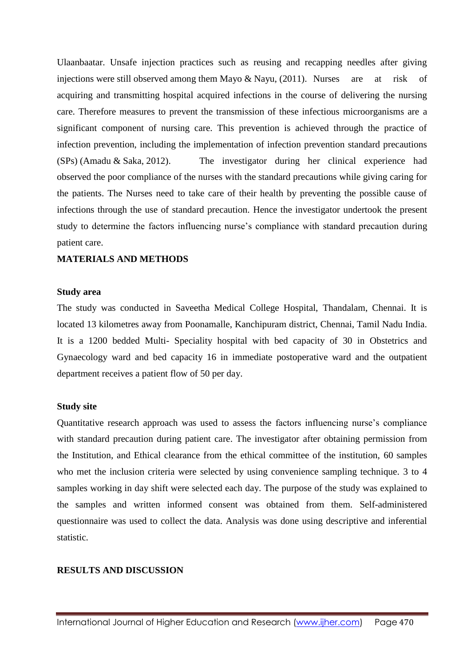Ulaanbaatar. Unsafe injection practices such as reusing and recapping needles after giving injections were still observed among them Mayo & Nayu, (2011). Nurses are at risk of acquiring and transmitting hospital acquired infections in the course of delivering the nursing care. Therefore measures to prevent the transmission of these infectious microorganisms are a significant component of nursing care. This prevention is achieved through the practice of infection prevention, including the implementation of infection prevention standard precautions (SPs) (Amadu & Saka, 2012). The investigator during her clinical experience had observed the poor compliance of the nurses with the standard precautions while giving caring for the patients. The Nurses need to take care of their health by preventing the possible cause of infections through the use of standard precaution. Hence the investigator undertook the present study to determine the factors influencing nurse's compliance with standard precaution during patient care.

#### **MATERIALS AND METHODS**

#### **Study area**

The study was conducted in Saveetha Medical College Hospital, Thandalam, Chennai. It is located 13 kilometres away from Poonamalle, Kanchipuram district, Chennai, Tamil Nadu India. It is a 1200 bedded Multi- Speciality hospital with bed capacity of 30 in Obstetrics and Gynaecology ward and bed capacity 16 in immediate postoperative ward and the outpatient department receives a patient flow of 50 per day.

#### **Study site**

Quantitative research approach was used to assess the factors influencing nurse's compliance with standard precaution during patient care. The investigator after obtaining permission from the Institution, and Ethical clearance from the ethical committee of the institution, 60 samples who met the inclusion criteria were selected by using convenience sampling technique. 3 to 4 samples working in day shift were selected each day. The purpose of the study was explained to the samples and written informed consent was obtained from them. Self-administered questionnaire was used to collect the data. Analysis was done using descriptive and inferential statistic.

#### **RESULTS AND DISCUSSION**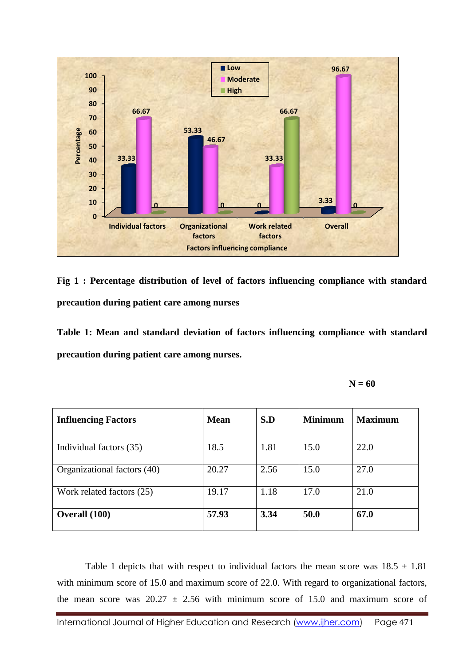

**Fig 1 : Percentage distribution of level of factors influencing compliance with standard precaution during patient care among nurses**

**Table 1: Mean and standard deviation of factors influencing compliance with standard precaution during patient care among nurses.**

 $N = 60$ 

| <b>Influencing Factors</b>  | <b>Mean</b> | S.D  | <b>Minimum</b> | <b>Maximum</b> |
|-----------------------------|-------------|------|----------------|----------------|
| Individual factors (35)     | 18.5        | 1.81 | 15.0           | 22.0           |
| Organizational factors (40) | 20.27       | 2.56 | 15.0           | 27.0           |
| Work related factors (25)   | 19.17       | 1.18 | 17.0           | 21.0           |
| Overall (100)               | 57.93       | 3.34 | 50.0           | 67.0           |

Table 1 depicts that with respect to individual factors the mean score was  $18.5 \pm 1.81$ with minimum score of 15.0 and maximum score of 22.0. With regard to organizational factors, the mean score was  $20.27 \pm 2.56$  with minimum score of 15.0 and maximum score of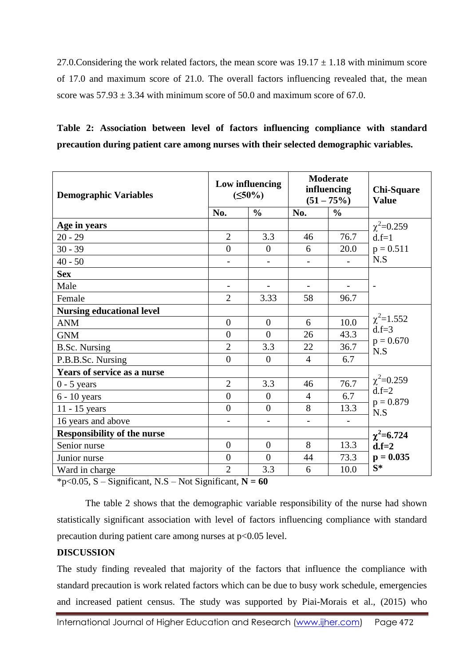27.0. Considering the work related factors, the mean score was  $19.17 \pm 1.18$  with minimum score of 17.0 and maximum score of 21.0. The overall factors influencing revealed that, the mean score was  $57.93 \pm 3.34$  with minimum score of 50.0 and maximum score of 67.0.

|  | Table 2: Association between level of factors influencing compliance with standard     |  |  |  |  |
|--|----------------------------------------------------------------------------------------|--|--|--|--|
|  | precaution during patient care among nurses with their selected demographic variables. |  |  |  |  |

| <b>Demographic Variables</b>       |                | Low influencing<br>$(50\%)$ | <b>Moderate</b><br>influencing<br>$(51 - 75\%)$ |                          | <b>Chi-Square</b><br><b>Value</b>           |  |
|------------------------------------|----------------|-----------------------------|-------------------------------------------------|--------------------------|---------------------------------------------|--|
|                                    | No.            | $\frac{0}{0}$               | No.                                             | $\frac{0}{0}$            |                                             |  |
| Age in years                       |                |                             |                                                 |                          | $\chi^2$ =0.259                             |  |
| $20 - 29$                          | $\overline{2}$ | 3.3                         | 46                                              | 76.7                     | $d.f=1$<br>$p = 0.511$<br>N.S               |  |
| $30 - 39$                          | $\overline{0}$ | $\overline{0}$              | 6                                               | 20.0                     |                                             |  |
| $40 - 50$                          |                |                             |                                                 |                          |                                             |  |
| <b>Sex</b>                         |                |                             |                                                 |                          |                                             |  |
| Male                               |                |                             |                                                 | $\overline{\phantom{m}}$ | $\overline{\phantom{a}}$                    |  |
| Female                             | $\overline{2}$ | 3.33                        | 58                                              | 96.7                     |                                             |  |
| <b>Nursing educational level</b>   |                |                             |                                                 |                          |                                             |  |
| <b>ANM</b>                         | $\overline{0}$ | $\overline{0}$              | 6                                               | 10.0                     | $\chi^2$ =1.552<br>$d.f = 3$<br>$p = 0.670$ |  |
| <b>GNM</b>                         | $\overline{0}$ | $\overline{0}$              | 26                                              | 43.3                     |                                             |  |
| <b>B.Sc. Nursing</b>               | $\overline{2}$ | 3.3                         | 22                                              | 36.7                     | N.S                                         |  |
| P.B.B.Sc. Nursing                  | $\overline{0}$ | $\overline{0}$              | $\overline{4}$                                  | 6.7                      |                                             |  |
| Years of service as a nurse        |                | 3.3                         |                                                 |                          |                                             |  |
| $0 - 5$ years                      | $\overline{2}$ |                             | 46                                              | 76.7                     | $\chi^2$ =0.259<br>$d.f = 2$                |  |
| $6 - 10$ years                     | $\overline{0}$ | $\overline{0}$              | $\overline{4}$                                  | 6.7                      | $p = 0.879$                                 |  |
| 11 - 15 years                      | $\overline{0}$ | $\overline{0}$              | 8                                               | 13.3                     | N.S                                         |  |
| 16 years and above                 |                |                             | $\overline{\phantom{0}}$                        |                          |                                             |  |
| <b>Responsibility of the nurse</b> |                |                             |                                                 |                          | $\chi^2$ =6.724                             |  |
| Senior nurse                       | $\overline{0}$ | $\overline{0}$              | 8                                               | 13.3                     | $d.f = 2$<br>$p = 0.035$                    |  |
| Junior nurse                       | $\overline{0}$ | $\overline{0}$              | 44                                              | 73.3                     |                                             |  |
| Ward in charge                     | $\overline{2}$ | 3.3                         | 6                                               | 10.0                     | $S^*$                                       |  |

\*p<0.05, S – Significant, N.S – Not Significant, **N = 60**

The table 2 shows that the demographic variable responsibility of the nurse had shown statistically significant association with level of factors influencing compliance with standard precaution during patient care among nurses at p<0.05 level.

### **DISCUSSION**

The study finding revealed that majority of the factors that influence the compliance with standard precaution is work related factors which can be due to busy work schedule, emergencies and increased patient census. The study was supported by Piai-Morais et al., (2015) who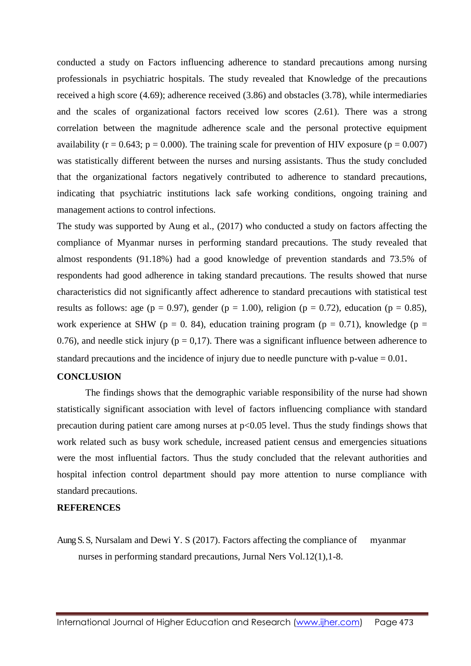conducted a study on Factors influencing adherence to standard precautions among nursing professionals in psychiatric hospitals. The study revealed that Knowledge of the precautions received a high score (4.69); adherence received (3.86) and obstacles (3.78), while intermediaries and the scales of organizational factors received low scores (2.61). There was a strong correlation between the magnitude adherence scale and the personal protective equipment availability ( $r = 0.643$ ;  $p = 0.000$ ). The training scale for prevention of HIV exposure ( $p = 0.007$ ) was statistically different between the nurses and nursing assistants. Thus the study concluded that the organizational factors negatively contributed to adherence to standard precautions, indicating that psychiatric institutions lack safe working conditions, ongoing training and management actions to control infections.

The study was supported by Aung et al., (2017) who conducted a study on factors affecting the compliance of Myanmar nurses in performing standard precautions. The study revealed that almost respondents (91.18%) had a good knowledge of prevention standards and 73.5% of respondents had good adherence in taking standard precautions. The results showed that nurse characteristics did not significantly affect adherence to standard precautions with statistical test results as follows: age ( $p = 0.97$ ), gender ( $p = 1.00$ ), religion ( $p = 0.72$ ), education ( $p = 0.85$ ), work experience at SHW (p = 0. 84), education training program (p = 0.71), knowledge (p = 0.76), and needle stick injury ( $p = 0.17$ ). There was a significant influence between adherence to standard precautions and the incidence of injury due to needle puncture with p-value = 0.01.

#### **CONCLUSION**

The findings shows that the demographic variable responsibility of the nurse had shown statistically significant association with level of factors influencing compliance with standard precaution during patient care among nurses at  $p<0.05$  level. Thus the study findings shows that work related such as busy work schedule, increased patient census and emergencies situations were the most influential factors. Thus the study concluded that the relevant authorities and hospital infection control department should pay more attention to nurse compliance with standard precautions.

#### **REFERENCES**

Aung S. S, Nursalam and Dewi Y. S (2017). Factors affecting the compliance of myanmar nurses in performing standard precautions, Jurnal Ners Vol.12(1),1-8.